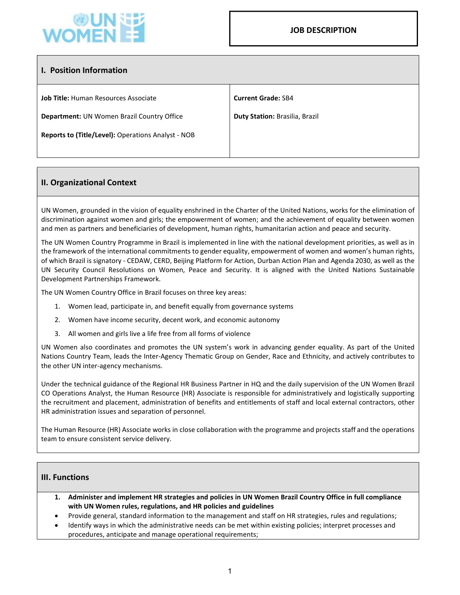

## I. Position Information

Job Title: Human Resources Associate

Department: UN Women Brazil Country Office

Reports to (Title/Level): Operations Analyst - NOB

# II. Organizational Context

UN Women, grounded in the vision of equality enshrined in the Charter of the United Nations, works for the elimination of discrimination against women and girls; the empowerment of women; and the achievement of equality between women and men as partners and beneficiaries of development, human rights, humanitarian action and peace and security.

The UN Women Country Programme in Brazil is implemented in line with the national development priorities, as well as in the framework of the international commitments to gender equality, empowerment of women and women's human rights, of which Brazil is signatory - CEDAW, CERD, Beijing Platform for Action, Durban Action Plan and Agenda 2030, as well as the UN Security Council Resolutions on Women, Peace and Security. It is aligned with the United Nations Sustainable Development Partnerships Framework.

The UN Women Country Office in Brazil focuses on three key areas:

- 1. Women lead, participate in, and benefit equally from governance systems
- 2. Women have income security, decent work, and economic autonomy
- 3. All women and girls live a life free from all forms of violence

UN Women also coordinates and promotes the UN system's work in advancing gender equality. As part of the United Nations Country Team, leads the Inter-Agency Thematic Group on Gender, Race and Ethnicity, and actively contributes to the other UN inter-agency mechanisms.

Under the technical guidance of the Regional HR Business Partner in HQ and the daily supervision of the UN Women Brazil CO Operations Analyst, the Human Resource (HR) Associate is responsible for administratively and logistically supporting the recruitment and placement, administration of benefits and entitlements of staff and local external contractors, other HR administration issues and separation of personnel.

The Human Resource (HR) Associate works in close collaboration with the programme and projects staff and the operations team to ensure consistent service delivery.

### III. Functions

- 1. Administer and implement HR strategies and policies in UN Women Brazil Country Office in full compliance with UN Women rules, regulations, and HR policies and guidelines
- Provide general, standard information to the management and staff on HR strategies, rules and regulations;
- Identify ways in which the administrative needs can be met within existing policies; interpret processes and procedures, anticipate and manage operational requirements;

Current Grade: SB4

Duty Station: Brasilia, Brazil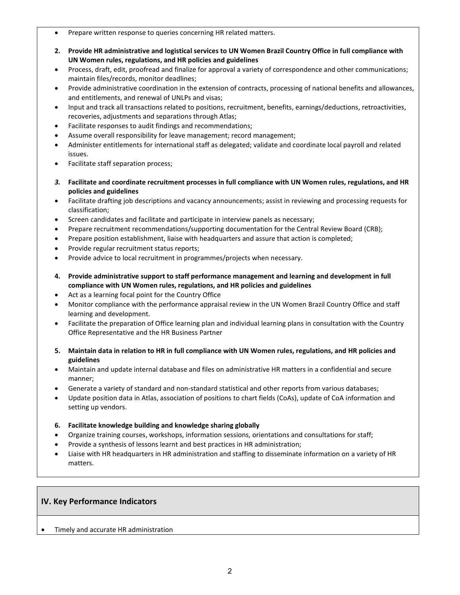- Prepare written response to queries concerning HR related matters.
- 2. Provide HR administrative and logistical services to UN Women Brazil Country Office in full compliance with UN Women rules, regulations, and HR policies and guidelines
- Process, draft, edit, proofread and finalize for approval a variety of correspondence and other communications; maintain files/records, monitor deadlines;
- Provide administrative coordination in the extension of contracts, processing of national benefits and allowances, and entitlements, and renewal of UNLPs and visas;
- Input and track all transactions related to positions, recruitment, benefits, earnings/deductions, retroactivities, recoveries, adjustments and separations through Atlas;
- Facilitate responses to audit findings and recommendations;
- Assume overall responsibility for leave management; record management;
- Administer entitlements for international staff as delegated; validate and coordinate local payroll and related issues.
- Facilitate staff separation process;
- 3. Facilitate and coordinate recruitment processes in full compliance with UN Women rules, regulations, and HR policies and guidelines
- Facilitate drafting job descriptions and vacancy announcements; assist in reviewing and processing requests for classification;
- Screen candidates and facilitate and participate in interview panels as necessary;
- Prepare recruitment recommendations/supporting documentation for the Central Review Board (CRB);
- Prepare position establishment, liaise with headquarters and assure that action is completed;
- Provide regular recruitment status reports;
- Provide advice to local recruitment in programmes/projects when necessary.
- 4. Provide administrative support to staff performance management and learning and development in full compliance with UN Women rules, regulations, and HR policies and guidelines
- Act as a learning focal point for the Country Office
- Monitor compliance with the performance appraisal review in the UN Women Brazil Country Office and staff learning and development.
- Facilitate the preparation of Office learning plan and individual learning plans in consultation with the Country Office Representative and the HR Business Partner
- 5. Maintain data in relation to HR in full compliance with UN Women rules, regulations, and HR policies and guidelines
- Maintain and update internal database and files on administrative HR matters in a confidential and secure manner;
- Generate a variety of standard and non-standard statistical and other reports from various databases;
- Update position data in Atlas, association of positions to chart fields (CoAs), update of CoA information and setting up vendors.
- 6. Facilitate knowledge building and knowledge sharing globally
- Organize training courses, workshops, information sessions, orientations and consultations for staff;
- Provide a synthesis of lessons learnt and best practices in HR administration;
- Liaise with HR headquarters in HR administration and staffing to disseminate information on a variety of HR matters.

### IV. Key Performance Indicators

Timely and accurate HR administration